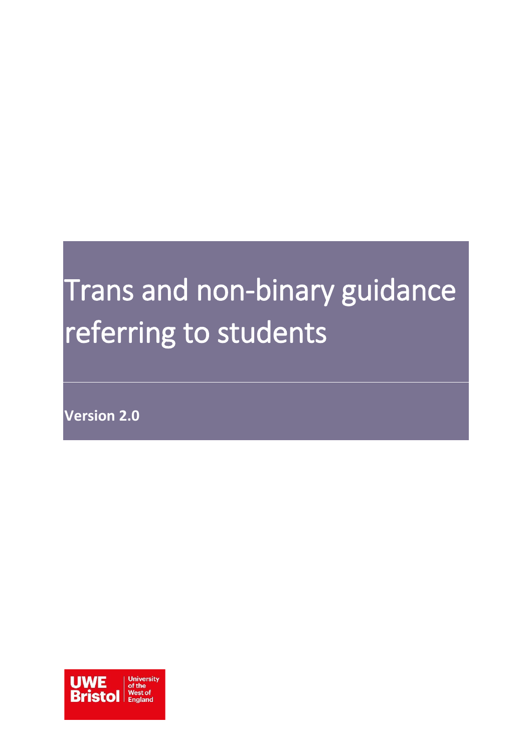# <span id="page-0-0"></span>Trans and non-binary guidance referring to students

**Version 2.0**

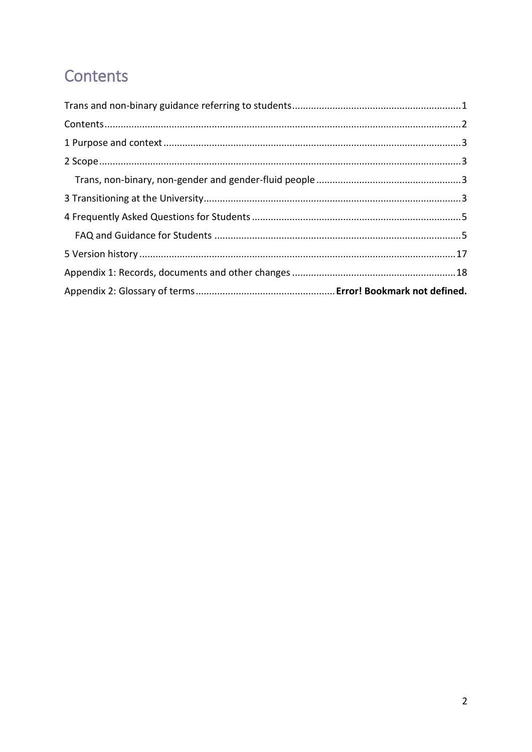### <span id="page-1-0"></span>Contents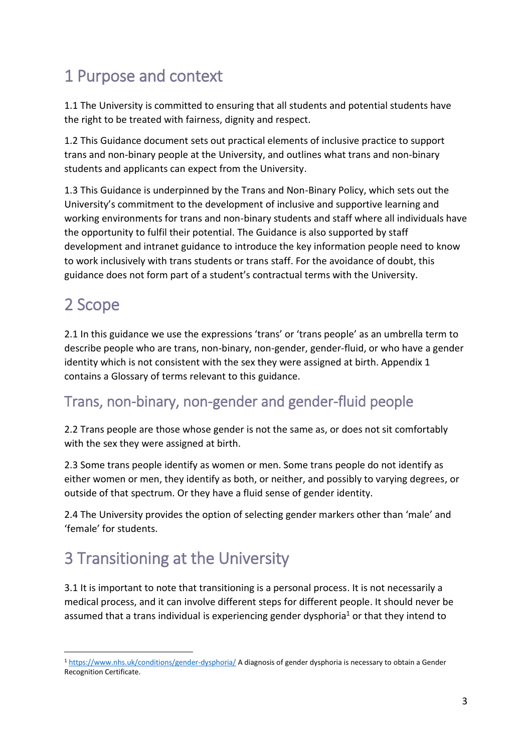## <span id="page-2-0"></span>1 Purpose and context

1.1 The University is committed to ensuring that all students and potential students have the right to be treated with fairness, dignity and respect.

1.2 This Guidance document sets out practical elements of inclusive practice to support trans and non-binary people at the University, and outlines what trans and non-binary students and applicants can expect from the University.

1.3 This Guidance is underpinned by the Trans and Non-Binary Policy, which sets out the University's commitment to the development of inclusive and supportive learning and working environments for trans and non-binary students and staff where all individuals have the opportunity to fulfil their potential. The Guidance is also supported by staff development and intranet guidance to introduce the key information people need to know to work inclusively with trans students or trans staff. For the avoidance of doubt, this guidance does not form part of a student's contractual terms with the University.

## <span id="page-2-1"></span>2 Scope

-

2.1 In this guidance we use the expressions 'trans' or 'trans people' as an umbrella term to describe people who are trans, non-binary, non-gender, gender-fluid, or who have a gender identity which is not consistent with the sex they were assigned at birth. Appendix 1 contains a Glossary of terms relevant to this guidance.

### <span id="page-2-2"></span>Trans, non-binary, non-gender and gender-fluid people

2.2 Trans people are those whose gender is not the same as, or does not sit comfortably with the sex they were assigned at birth.

2.3 Some trans people identify as women or men. Some trans people do not identify as either women or men, they identify as both, or neither, and possibly to varying degrees, or outside of that spectrum. Or they have a fluid sense of gender identity.

2.4 The University provides the option of selecting gender markers other than 'male' and 'female' for students.

### <span id="page-2-3"></span>3 Transitioning at the University

3.1 It is important to note that transitioning is a personal process. It is not necessarily a medical process, and it can involve different steps for different people. It should never be assumed that a trans individual is experiencing gender dysphoria<sup>1</sup> or that they intend to

<sup>1</sup> <https://www.nhs.uk/conditions/gender-dysphoria/> A diagnosis of gender dysphoria is necessary to obtain a Gender Recognition Certificate.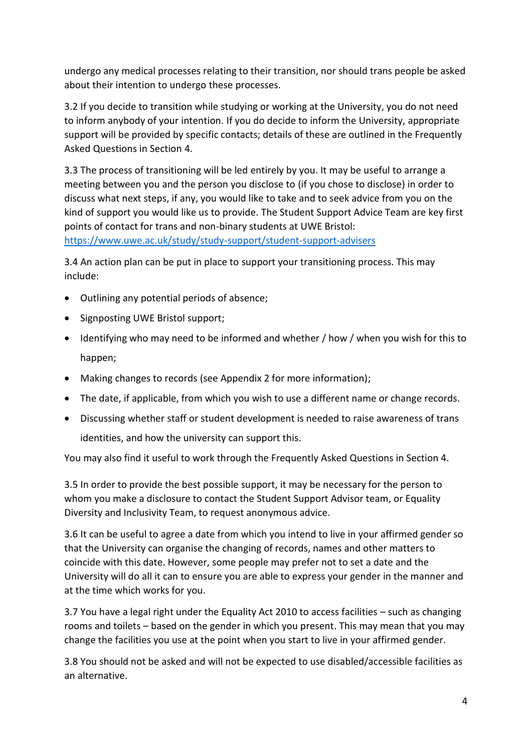undergo any medical processes relating to their transition, nor should trans people be asked about their intention to undergo these processes.

3.2 If you decide to transition while studying or working at the University, you do not need to inform anybody of your intention. If you do decide to inform the University, appropriate support will be provided by specific contacts; details of these are outlined in the Frequently Asked Questions in Section 4.

3.3 The process of transitioning will be led entirely by you. It may be useful to arrange a meeting between you and the person you disclose to (if you chose to disclose) in order to discuss what next steps, if any, you would like to take and to seek advice from you on the kind of support you would like us to provide. The Student Support Advice Team are key first points of contact for trans and non-binary students at UWE Bristol:

<https://www.uwe.ac.uk/study/study-support/student-support-advisers>

3.4 An action plan can be put in place to support your transitioning process. This may include:

- Outlining any potential periods of absence;
- Signposting UWE Bristol support;
- Identifying who may need to be informed and whether / how / when you wish for this to happen;
- Making changes to records (see Appendix 2 for more information);
- The date, if applicable, from which you wish to use a different name or change records.
- Discussing whether staff or student development is needed to raise awareness of trans

identities, and how the university can support this.

You may also find it useful to work through the Frequently Asked Questions in Section 4.

3.5 In order to provide the best possible support, it may be necessary for the person to whom you make a disclosure to contact the Student Support Advisor team, or Equality Diversity and Inclusivity Team, to request anonymous advice.

3.6 It can be useful to agree a date from which you intend to live in your affirmed gender so that the University can organise the changing of records, names and other matters to coincide with this date. However, some people may prefer not to set a date and the University will do all it can to ensure you are able to express your gender in the manner and at the time which works for you.

3.7 You have a legal right under the Equality Act 2010 to access facilities – such as changing rooms and toilets – based on the gender in which you present. This may mean that you may change the facilities you use at the point when you start to live in your affirmed gender.

3.8 You should not be asked and will not be expected to use disabled/accessible facilities as an alternative.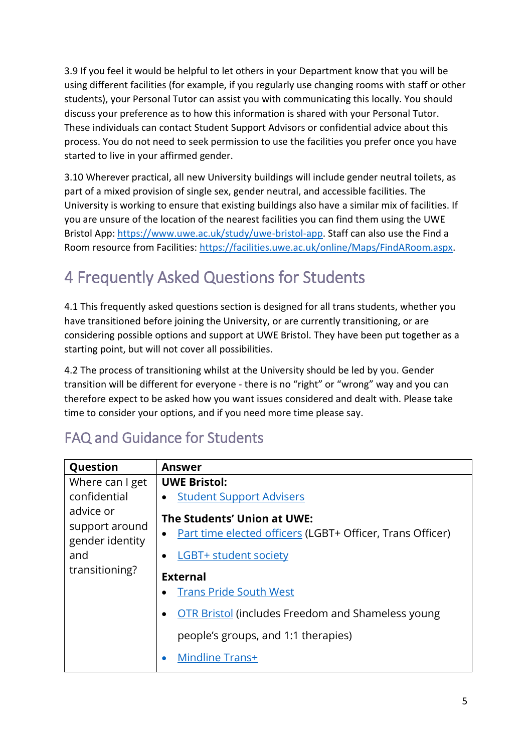3.9 If you feel it would be helpful to let others in your Department know that you will be using different facilities (for example, if you regularly use changing rooms with staff or other students), your Personal Tutor can assist you with communicating this locally. You should discuss your preference as to how this information is shared with your Personal Tutor. These individuals can contact Student Support Advisors or confidential advice about this process. You do not need to seek permission to use the facilities you prefer once you have started to live in your affirmed gender.

3.10 Wherever practical, all new University buildings will include gender neutral toilets, as part of a mixed provision of single sex, gender neutral, and accessible facilities. The University is working to ensure that existing buildings also have a similar mix of facilities. If you are unsure of the location of the nearest facilities you can find them using the UWE Bristol App: [https://www.uwe.ac.uk/study/uwe-bristol-app.](https://www.uwe.ac.uk/study/uwe-bristol-app) Staff can also use the Find a Room resource from Facilities: [https://facilities.uwe.ac.uk/online/Maps/FindARoom.aspx.](https://facilities.uwe.ac.uk/online/Maps/FindARoom.aspx)

## <span id="page-4-0"></span>4 Frequently Asked Questions for Students

4.1 This frequently asked questions section is designed for all trans students, whether you have transitioned before joining the University, or are currently transitioning, or are considering possible options and support at UWE Bristol. They have been put together as a starting point, but will not cover all possibilities.

4.2 The process of transitioning whilst at the University should be led by you. Gender transition will be different for everyone - there is no "right" or "wrong" way and you can therefore expect to be asked how you want issues considered and dealt with. Please take time to consider your options, and if you need more time please say.

<span id="page-4-1"></span>

|  |  | <b>FAQ and Guidance for Students</b> |
|--|--|--------------------------------------|
|--|--|--------------------------------------|

| Question                    | <b>Answer</b>                                             |
|-----------------------------|-----------------------------------------------------------|
| Where can I get             | <b>UWE Bristol:</b>                                       |
| confidential                | <b>Student Support Advisers</b>                           |
| advice or<br>support around | The Students' Union at UWE:                               |
| gender identity             | Part time elected officers (LGBT+ Officer, Trans Officer) |
| and                         | <b>LGBT+ student society</b>                              |
| transitioning?              | <b>External</b>                                           |
|                             | <b>Trans Pride South West</b>                             |
|                             | <b>OTR Bristol (includes Freedom and Shameless young</b>  |
|                             | people's groups, and 1:1 therapies)                       |
|                             | Mindline Trans+<br>$\bullet$                              |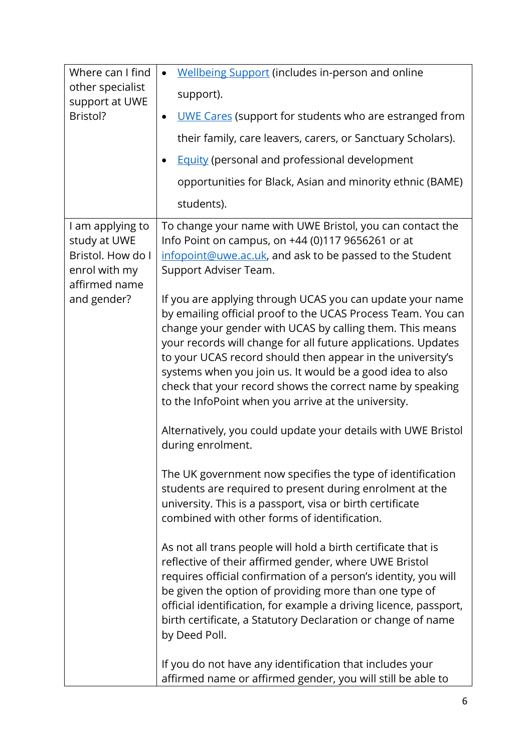| Where can I find                                                                                       | Wellbeing Support (includes in-person and online<br>$\bullet$                                                                                                                                                                                                                                                                                                                                                                                                                                                                                                                                                                                                                                                                                                                                                                                                                                                                                                                                                                                                                                                                                                                                                                                                                                                                                                                                                                                                                                                       |
|--------------------------------------------------------------------------------------------------------|---------------------------------------------------------------------------------------------------------------------------------------------------------------------------------------------------------------------------------------------------------------------------------------------------------------------------------------------------------------------------------------------------------------------------------------------------------------------------------------------------------------------------------------------------------------------------------------------------------------------------------------------------------------------------------------------------------------------------------------------------------------------------------------------------------------------------------------------------------------------------------------------------------------------------------------------------------------------------------------------------------------------------------------------------------------------------------------------------------------------------------------------------------------------------------------------------------------------------------------------------------------------------------------------------------------------------------------------------------------------------------------------------------------------------------------------------------------------------------------------------------------------|
| other specialist<br>support at UWE                                                                     | support).                                                                                                                                                                                                                                                                                                                                                                                                                                                                                                                                                                                                                                                                                                                                                                                                                                                                                                                                                                                                                                                                                                                                                                                                                                                                                                                                                                                                                                                                                                           |
| Bristol?                                                                                               | <b>UWE Cares</b> (support for students who are estranged from<br>$\bullet$                                                                                                                                                                                                                                                                                                                                                                                                                                                                                                                                                                                                                                                                                                                                                                                                                                                                                                                                                                                                                                                                                                                                                                                                                                                                                                                                                                                                                                          |
|                                                                                                        | their family, care leavers, carers, or Sanctuary Scholars).                                                                                                                                                                                                                                                                                                                                                                                                                                                                                                                                                                                                                                                                                                                                                                                                                                                                                                                                                                                                                                                                                                                                                                                                                                                                                                                                                                                                                                                         |
|                                                                                                        | <b>Equity (personal and professional development</b><br>$\bullet$                                                                                                                                                                                                                                                                                                                                                                                                                                                                                                                                                                                                                                                                                                                                                                                                                                                                                                                                                                                                                                                                                                                                                                                                                                                                                                                                                                                                                                                   |
|                                                                                                        | opportunities for Black, Asian and minority ethnic (BAME)                                                                                                                                                                                                                                                                                                                                                                                                                                                                                                                                                                                                                                                                                                                                                                                                                                                                                                                                                                                                                                                                                                                                                                                                                                                                                                                                                                                                                                                           |
|                                                                                                        | students).                                                                                                                                                                                                                                                                                                                                                                                                                                                                                                                                                                                                                                                                                                                                                                                                                                                                                                                                                                                                                                                                                                                                                                                                                                                                                                                                                                                                                                                                                                          |
| I am applying to<br>study at UWE<br>Bristol. How do I<br>enrol with my<br>affirmed name<br>and gender? | To change your name with UWE Bristol, you can contact the<br>Info Point on campus, on +44 (0)117 9656261 or at<br>infopoint@uwe.ac.uk, and ask to be passed to the Student<br>Support Adviser Team.<br>If you are applying through UCAS you can update your name<br>by emailing official proof to the UCAS Process Team. You can<br>change your gender with UCAS by calling them. This means<br>your records will change for all future applications. Updates<br>to your UCAS record should then appear in the university's<br>systems when you join us. It would be a good idea to also<br>check that your record shows the correct name by speaking<br>to the InfoPoint when you arrive at the university.<br>Alternatively, you could update your details with UWE Bristol<br>during enrolment.<br>The UK government now specifies the type of identification<br>students are required to present during enrolment at the<br>university. This is a passport, visa or birth certificate<br>combined with other forms of identification.<br>As not all trans people will hold a birth certificate that is<br>reflective of their affirmed gender, where UWE Bristol<br>requires official confirmation of a person's identity, you will<br>be given the option of providing more than one type of<br>official identification, for example a driving licence, passport,<br>birth certificate, a Statutory Declaration or change of name<br>by Deed Poll.<br>If you do not have any identification that includes your |
|                                                                                                        | affirmed name or affirmed gender, you will still be able to                                                                                                                                                                                                                                                                                                                                                                                                                                                                                                                                                                                                                                                                                                                                                                                                                                                                                                                                                                                                                                                                                                                                                                                                                                                                                                                                                                                                                                                         |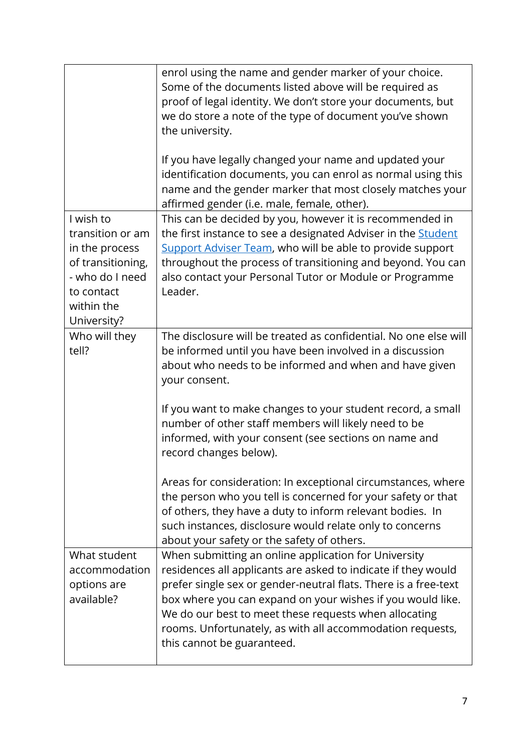|                                                                                                                                    | enrol using the name and gender marker of your choice.<br>Some of the documents listed above will be required as<br>proof of legal identity. We don't store your documents, but<br>we do store a note of the type of document you've shown<br>the university.                                                                                                                                              |
|------------------------------------------------------------------------------------------------------------------------------------|------------------------------------------------------------------------------------------------------------------------------------------------------------------------------------------------------------------------------------------------------------------------------------------------------------------------------------------------------------------------------------------------------------|
|                                                                                                                                    | If you have legally changed your name and updated your<br>identification documents, you can enrol as normal using this<br>name and the gender marker that most closely matches your<br>affirmed gender (i.e. male, female, other).                                                                                                                                                                         |
| I wish to<br>transition or am<br>in the process<br>of transitioning,<br>- who do I need<br>to contact<br>within the<br>University? | This can be decided by you, however it is recommended in<br>the first instance to see a designated Adviser in the <b>Student</b><br><b>Support Adviser Team, who will be able to provide support</b><br>throughout the process of transitioning and beyond. You can<br>also contact your Personal Tutor or Module or Programme<br>Leader.                                                                  |
| Who will they<br>tell?                                                                                                             | The disclosure will be treated as confidential. No one else will<br>be informed until you have been involved in a discussion<br>about who needs to be informed and when and have given<br>your consent.                                                                                                                                                                                                    |
|                                                                                                                                    | If you want to make changes to your student record, a small<br>number of other staff members will likely need to be<br>informed, with your consent (see sections on name and<br>record changes below).                                                                                                                                                                                                     |
|                                                                                                                                    | Areas for consideration: In exceptional circumstances, where<br>the person who you tell is concerned for your safety or that<br>of others, they have a duty to inform relevant bodies. In<br>such instances, disclosure would relate only to concerns<br>about your safety or the safety of others.                                                                                                        |
| What student<br>accommodation<br>options are<br>available?                                                                         | When submitting an online application for University<br>residences all applicants are asked to indicate if they would<br>prefer single sex or gender-neutral flats. There is a free-text<br>box where you can expand on your wishes if you would like.<br>We do our best to meet these requests when allocating<br>rooms. Unfortunately, as with all accommodation requests,<br>this cannot be guaranteed. |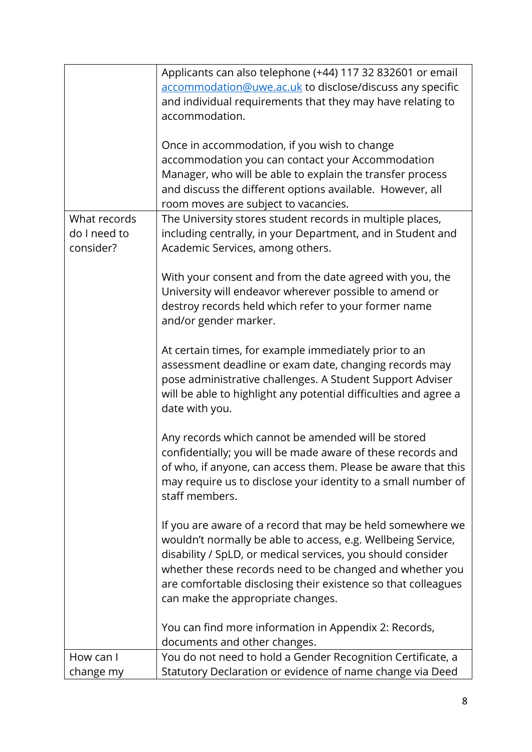|                                           | Applicants can also telephone (+44) 117 32 832601 or email<br>accommodation@uwe.ac.uk to disclose/discuss any specific<br>and individual requirements that they may have relating to<br>accommodation.<br>Once in accommodation, if you wish to change<br>accommodation you can contact your Accommodation<br>Manager, who will be able to explain the transfer process<br>and discuss the different options available. However, all<br>room moves are subject to vacancies. |
|-------------------------------------------|------------------------------------------------------------------------------------------------------------------------------------------------------------------------------------------------------------------------------------------------------------------------------------------------------------------------------------------------------------------------------------------------------------------------------------------------------------------------------|
| What records<br>do I need to<br>consider? | The University stores student records in multiple places,<br>including centrally, in your Department, and in Student and<br>Academic Services, among others.                                                                                                                                                                                                                                                                                                                 |
|                                           | With your consent and from the date agreed with you, the<br>University will endeavor wherever possible to amend or<br>destroy records held which refer to your former name<br>and/or gender marker.                                                                                                                                                                                                                                                                          |
|                                           | At certain times, for example immediately prior to an<br>assessment deadline or exam date, changing records may<br>pose administrative challenges. A Student Support Adviser<br>will be able to highlight any potential difficulties and agree a<br>date with you.                                                                                                                                                                                                           |
|                                           | Any records which cannot be amended will be stored<br>confidentially; you will be made aware of these records and<br>of who, if anyone, can access them. Please be aware that this<br>may require us to disclose your identity to a small number of<br>staff members.                                                                                                                                                                                                        |
|                                           | If you are aware of a record that may be held somewhere we<br>wouldn't normally be able to access, e.g. Wellbeing Service,<br>disability / SpLD, or medical services, you should consider<br>whether these records need to be changed and whether you<br>are comfortable disclosing their existence so that colleagues<br>can make the appropriate changes.                                                                                                                  |
|                                           | You can find more information in Appendix 2: Records,<br>documents and other changes.                                                                                                                                                                                                                                                                                                                                                                                        |
| How can I<br>change my                    | You do not need to hold a Gender Recognition Certificate, a<br>Statutory Declaration or evidence of name change via Deed                                                                                                                                                                                                                                                                                                                                                     |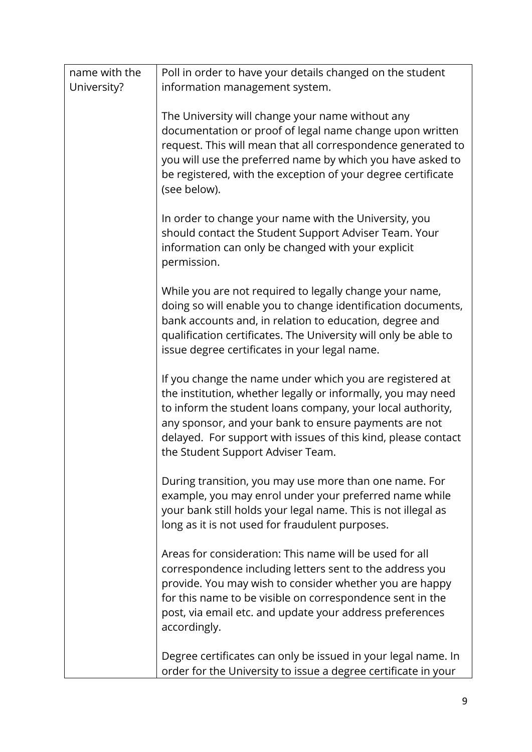| name with the | Poll in order to have your details changed on the student                                                                                                                                                                                                                                                                                             |
|---------------|-------------------------------------------------------------------------------------------------------------------------------------------------------------------------------------------------------------------------------------------------------------------------------------------------------------------------------------------------------|
| University?   | information management system.                                                                                                                                                                                                                                                                                                                        |
|               | The University will change your name without any<br>documentation or proof of legal name change upon written<br>request. This will mean that all correspondence generated to<br>you will use the preferred name by which you have asked to<br>be registered, with the exception of your degree certificate<br>(see below).                            |
|               | In order to change your name with the University, you<br>should contact the Student Support Adviser Team. Your<br>information can only be changed with your explicit<br>permission.                                                                                                                                                                   |
|               | While you are not required to legally change your name,<br>doing so will enable you to change identification documents,<br>bank accounts and, in relation to education, degree and<br>qualification certificates. The University will only be able to<br>issue degree certificates in your legal name.                                                |
|               | If you change the name under which you are registered at<br>the institution, whether legally or informally, you may need<br>to inform the student loans company, your local authority,<br>any sponsor, and your bank to ensure payments are not<br>delayed. For support with issues of this kind, please contact<br>the Student Support Adviser Team. |
|               | During transition, you may use more than one name. For<br>example, you may enrol under your preferred name while<br>your bank still holds your legal name. This is not illegal as<br>long as it is not used for fraudulent purposes.                                                                                                                  |
|               | Areas for consideration: This name will be used for all<br>correspondence including letters sent to the address you<br>provide. You may wish to consider whether you are happy<br>for this name to be visible on correspondence sent in the<br>post, via email etc. and update your address preferences<br>accordingly.                               |
|               | Degree certificates can only be issued in your legal name. In<br>order for the University to issue a degree certificate in your                                                                                                                                                                                                                       |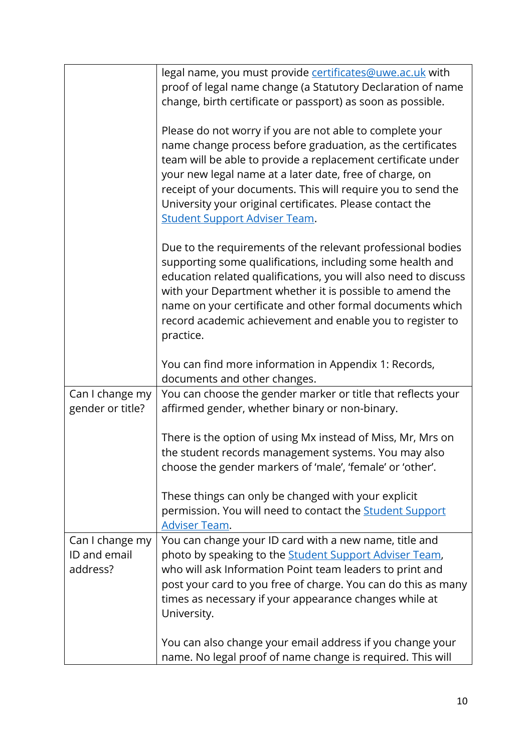|                                             | legal name, you must provide certificates@uwe.ac.uk with<br>proof of legal name change (a Statutory Declaration of name<br>change, birth certificate or passport) as soon as possible.                                                                                                                                                                                                                                 |
|---------------------------------------------|------------------------------------------------------------------------------------------------------------------------------------------------------------------------------------------------------------------------------------------------------------------------------------------------------------------------------------------------------------------------------------------------------------------------|
|                                             | Please do not worry if you are not able to complete your<br>name change process before graduation, as the certificates<br>team will be able to provide a replacement certificate under<br>your new legal name at a later date, free of charge, on<br>receipt of your documents. This will require you to send the<br>University your original certificates. Please contact the<br><b>Student Support Adviser Team.</b> |
|                                             | Due to the requirements of the relevant professional bodies<br>supporting some qualifications, including some health and<br>education related qualifications, you will also need to discuss<br>with your Department whether it is possible to amend the<br>name on your certificate and other formal documents which<br>record academic achievement and enable you to register to<br>practice.                         |
|                                             | You can find more information in Appendix 1: Records,<br>documents and other changes.                                                                                                                                                                                                                                                                                                                                  |
| Can I change my<br>gender or title?         | You can choose the gender marker or title that reflects your<br>affirmed gender, whether binary or non-binary.                                                                                                                                                                                                                                                                                                         |
|                                             | There is the option of using Mx instead of Miss, Mr, Mrs on<br>the student records management systems. You may also<br>choose the gender markers of 'male', 'female' or 'other'.                                                                                                                                                                                                                                       |
|                                             | These things can only be changed with your explicit<br>permission. You will need to contact the <b>Student Support</b><br><b>Adviser Team.</b>                                                                                                                                                                                                                                                                         |
| Can I change my<br>ID and email<br>address? | You can change your ID card with a new name, title and<br>photo by speaking to the <b>Student Support Adviser Team</b> ,<br>who will ask Information Point team leaders to print and<br>post your card to you free of charge. You can do this as many<br>times as necessary if your appearance changes while at<br>University.                                                                                         |
|                                             | You can also change your email address if you change your<br>name. No legal proof of name change is required. This will                                                                                                                                                                                                                                                                                                |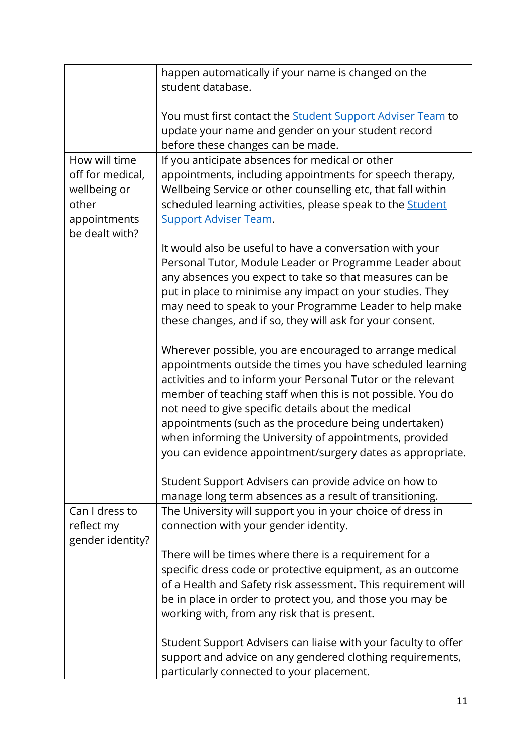|                  | happen automatically if your name is changed on the               |
|------------------|-------------------------------------------------------------------|
|                  | student database.                                                 |
|                  |                                                                   |
|                  | You must first contact the <b>Student Support Adviser Team</b> to |
|                  | update your name and gender on your student record                |
|                  | before these changes can be made.                                 |
| How will time    | If you anticipate absences for medical or other                   |
| off for medical, | appointments, including appointments for speech therapy,          |
| wellbeing or     | Wellbeing Service or other counselling etc, that fall within      |
| other            | scheduled learning activities, please speak to the <b>Student</b> |
| appointments     | <b>Support Adviser Team.</b>                                      |
| be dealt with?   |                                                                   |
|                  |                                                                   |
|                  | It would also be useful to have a conversation with your          |
|                  | Personal Tutor, Module Leader or Programme Leader about           |
|                  | any absences you expect to take so that measures can be           |
|                  | put in place to minimise any impact on your studies. They         |
|                  | may need to speak to your Programme Leader to help make           |
|                  | these changes, and if so, they will ask for your consent.         |
|                  |                                                                   |
|                  | Wherever possible, you are encouraged to arrange medical          |
|                  | appointments outside the times you have scheduled learning        |
|                  | activities and to inform your Personal Tutor or the relevant      |
|                  | member of teaching staff when this is not possible. You do        |
|                  | not need to give specific details about the medical               |
|                  | appointments (such as the procedure being undertaken)             |
|                  | when informing the University of appointments, provided           |
|                  | you can evidence appointment/surgery dates as appropriate.        |
|                  |                                                                   |
|                  | Student Support Advisers can provide advice on how to             |
|                  | manage long term absences as a result of transitioning.           |
| Can I dress to   | The University will support you in your choice of dress in        |
| reflect my       | connection with your gender identity.                             |
| gender identity? |                                                                   |
|                  | There will be times where there is a requirement for a            |
|                  | specific dress code or protective equipment, as an outcome        |
|                  | of a Health and Safety risk assessment. This requirement will     |
|                  | be in place in order to protect you, and those you may be         |
|                  | working with, from any risk that is present.                      |
|                  |                                                                   |
|                  | Student Support Advisers can liaise with your faculty to offer    |
|                  | support and advice on any gendered clothing requirements,         |
|                  | particularly connected to your placement.                         |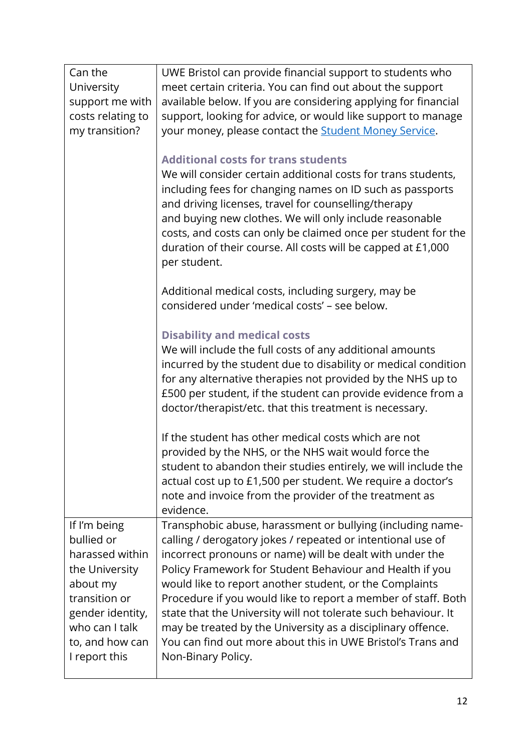| Can the           | UWE Bristol can provide financial support to students who      |
|-------------------|----------------------------------------------------------------|
| University        | meet certain criteria. You can find out about the support      |
| support me with   | available below. If you are considering applying for financial |
| costs relating to | support, looking for advice, or would like support to manage   |
| my transition?    | your money, please contact the <b>Student Money Service</b> .  |
|                   |                                                                |
|                   | <b>Additional costs for trans students</b>                     |
|                   | We will consider certain additional costs for trans students,  |
|                   | including fees for changing names on ID such as passports      |
|                   | and driving licenses, travel for counselling/therapy           |
|                   | and buying new clothes. We will only include reasonable        |
|                   | costs, and costs can only be claimed once per student for the  |
|                   | duration of their course. All costs will be capped at £1,000   |
|                   | per student.                                                   |
|                   | Additional medical costs, including surgery, may be            |
|                   | considered under 'medical costs' - see below.                  |
|                   |                                                                |
|                   | <b>Disability and medical costs</b>                            |
|                   | We will include the full costs of any additional amounts       |
|                   | incurred by the student due to disability or medical condition |
|                   | for any alternative therapies not provided by the NHS up to    |
|                   | £500 per student, if the student can provide evidence from a   |
|                   | doctor/therapist/etc. that this treatment is necessary.        |
|                   | If the student has other medical costs which are not           |
|                   | provided by the NHS, or the NHS wait would force the           |
|                   | student to abandon their studies entirely, we will include the |
|                   | actual cost up to £1,500 per student. We require a doctor's    |
|                   | note and invoice from the provider of the treatment as         |
|                   | evidence.                                                      |
| If I'm being      | Transphobic abuse, harassment or bullying (including name-     |
| bullied or        | calling / derogatory jokes / repeated or intentional use of    |
| harassed within   | incorrect pronouns or name) will be dealt with under the       |
| the University    | Policy Framework for Student Behaviour and Health if you       |
| about my          | would like to report another student, or the Complaints        |
| transition or     | Procedure if you would like to report a member of staff. Both  |
| gender identity,  | state that the University will not tolerate such behaviour. It |
| who can I talk    | may be treated by the University as a disciplinary offence.    |
| to, and how can   | You can find out more about this in UWE Bristol's Trans and    |
| I report this     | Non-Binary Policy.                                             |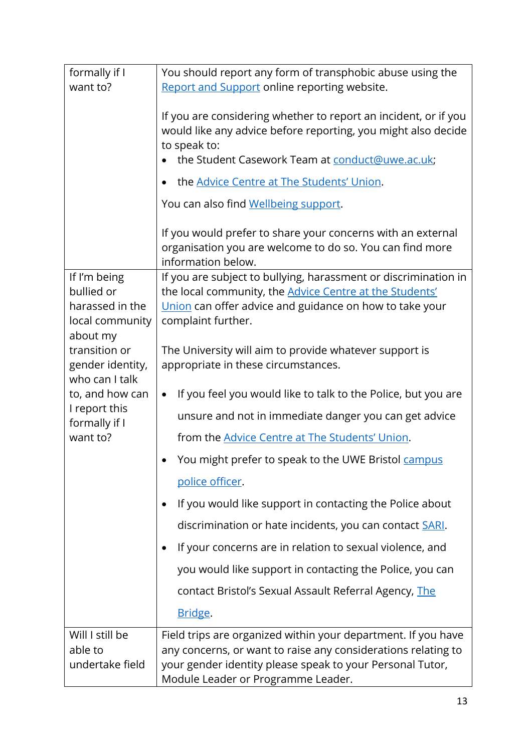| formally if I                     | You should report any form of transphobic abuse using the                                                                                                                                                                                                                                |
|-----------------------------------|------------------------------------------------------------------------------------------------------------------------------------------------------------------------------------------------------------------------------------------------------------------------------------------|
| want to?                          | Report and Support online reporting website.                                                                                                                                                                                                                                             |
|                                   | If you are considering whether to report an incident, or if you<br>would like any advice before reporting, you might also decide<br>to speak to:<br>the Student Casework Team at conduct@uwe.ac.uk;<br>the Advice Centre at The Students' Union.<br>You can also find Wellbeing support. |
|                                   | If you would prefer to share your concerns with an external<br>organisation you are welcome to do so. You can find more<br>information below.                                                                                                                                            |
| If I'm being                      | If you are subject to bullying, harassment or discrimination in                                                                                                                                                                                                                          |
| bullied or<br>harassed in the     | the local community, the <b>Advice Centre at the Students'</b><br>Union can offer advice and guidance on how to take your                                                                                                                                                                |
| local community                   | complaint further.                                                                                                                                                                                                                                                                       |
| about my                          |                                                                                                                                                                                                                                                                                          |
| transition or<br>gender identity, | The University will aim to provide whatever support is<br>appropriate in these circumstances.                                                                                                                                                                                            |
| who can I talk                    |                                                                                                                                                                                                                                                                                          |
| to, and how can                   | If you feel you would like to talk to the Police, but you are<br>$\bullet$                                                                                                                                                                                                               |
| I report this<br>formally if I    | unsure and not in immediate danger you can get advice                                                                                                                                                                                                                                    |
| want to?                          | from the Advice Centre at The Students' Union.                                                                                                                                                                                                                                           |
|                                   | You might prefer to speak to the UWE Bristol campus                                                                                                                                                                                                                                      |
|                                   | police officer.                                                                                                                                                                                                                                                                          |
|                                   | If you would like support in contacting the Police about<br>٠                                                                                                                                                                                                                            |
|                                   | discrimination or hate incidents, you can contact SARI.                                                                                                                                                                                                                                  |
|                                   | If your concerns are in relation to sexual violence, and<br>$\bullet$                                                                                                                                                                                                                    |
|                                   | you would like support in contacting the Police, you can                                                                                                                                                                                                                                 |
|                                   | contact Bristol's Sexual Assault Referral Agency, The                                                                                                                                                                                                                                    |
|                                   | Bridge.                                                                                                                                                                                                                                                                                  |
| Will I still be                   | Field trips are organized within your department. If you have                                                                                                                                                                                                                            |
| able to<br>undertake field        | any concerns, or want to raise any considerations relating to<br>your gender identity please speak to your Personal Tutor,<br>Module Leader or Programme Leader.                                                                                                                         |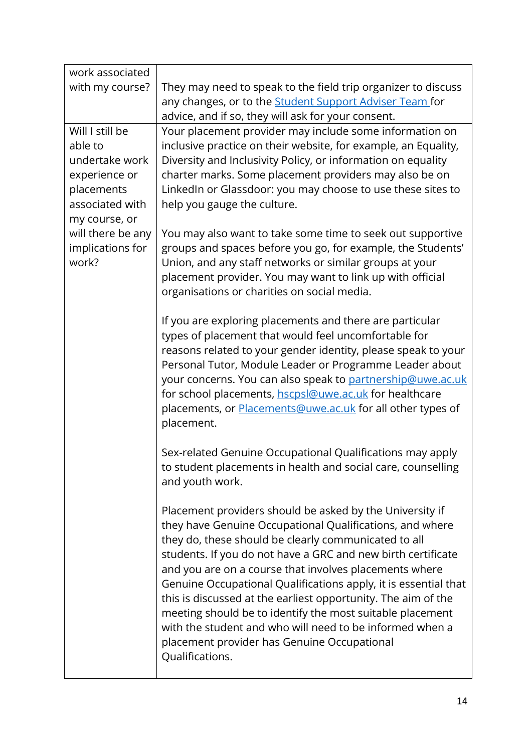| work associated           |                                                                                                                           |
|---------------------------|---------------------------------------------------------------------------------------------------------------------------|
| with my course?           | They may need to speak to the field trip organizer to discuss                                                             |
|                           | any changes, or to the Student Support Adviser Team for                                                                   |
|                           | advice, and if so, they will ask for your consent.                                                                        |
| Will I still be           | Your placement provider may include some information on                                                                   |
| able to                   | inclusive practice on their website, for example, an Equality,                                                            |
| undertake work            | Diversity and Inclusivity Policy, or information on equality                                                              |
| experience or             | charter marks. Some placement providers may also be on                                                                    |
| placements                | LinkedIn or Glassdoor: you may choose to use these sites to                                                               |
| associated with           | help you gauge the culture.                                                                                               |
| my course, or             |                                                                                                                           |
| will there be any         | You may also want to take some time to seek out supportive                                                                |
| implications for<br>work? | groups and spaces before you go, for example, the Students'<br>Union, and any staff networks or similar groups at your    |
|                           | placement provider. You may want to link up with official                                                                 |
|                           | organisations or charities on social media.                                                                               |
|                           |                                                                                                                           |
|                           | If you are exploring placements and there are particular                                                                  |
|                           | types of placement that would feel uncomfortable for                                                                      |
|                           | reasons related to your gender identity, please speak to your                                                             |
|                           | Personal Tutor, Module Leader or Programme Leader about                                                                   |
|                           | your concerns. You can also speak to partnership@uwe.ac.uk                                                                |
|                           | for school placements, hscpsl@uwe.ac.uk for healthcare                                                                    |
|                           | placements, or <b>Placements@uwe.ac.uk</b> for all other types of                                                         |
|                           | placement.                                                                                                                |
|                           |                                                                                                                           |
|                           | Sex-related Genuine Occupational Qualifications may apply<br>to student placements in health and social care, counselling |
|                           | and youth work.                                                                                                           |
|                           |                                                                                                                           |
|                           | Placement providers should be asked by the University if                                                                  |
|                           | they have Genuine Occupational Qualifications, and where                                                                  |
|                           | they do, these should be clearly communicated to all                                                                      |
|                           | students. If you do not have a GRC and new birth certificate                                                              |
|                           | and you are on a course that involves placements where                                                                    |
|                           | Genuine Occupational Qualifications apply, it is essential that                                                           |
|                           | this is discussed at the earliest opportunity. The aim of the                                                             |
|                           | meeting should be to identify the most suitable placement                                                                 |
|                           | with the student and who will need to be informed when a                                                                  |
|                           | placement provider has Genuine Occupational                                                                               |
|                           | Qualifications.                                                                                                           |
|                           |                                                                                                                           |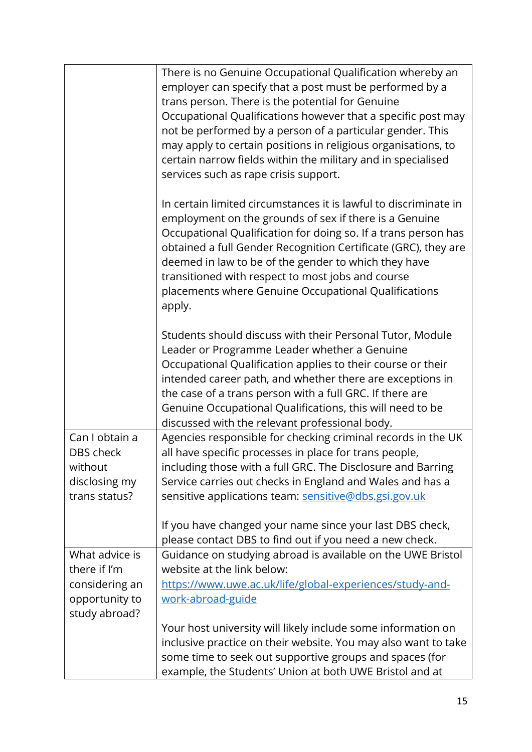|                                                                                     | There is no Genuine Occupational Qualification whereby an<br>employer can specify that a post must be performed by a<br>trans person. There is the potential for Genuine<br>Occupational Qualifications however that a specific post may<br>not be performed by a person of a particular gender. This<br>may apply to certain positions in religious organisations, to<br>certain narrow fields within the military and in specialised<br>services such as rape crisis support. |
|-------------------------------------------------------------------------------------|---------------------------------------------------------------------------------------------------------------------------------------------------------------------------------------------------------------------------------------------------------------------------------------------------------------------------------------------------------------------------------------------------------------------------------------------------------------------------------|
|                                                                                     | In certain limited circumstances it is lawful to discriminate in<br>employment on the grounds of sex if there is a Genuine<br>Occupational Qualification for doing so. If a trans person has<br>obtained a full Gender Recognition Certificate (GRC), they are<br>deemed in law to be of the gender to which they have<br>transitioned with respect to most jobs and course<br>placements where Genuine Occupational Qualifications<br>apply.                                   |
|                                                                                     | Students should discuss with their Personal Tutor, Module<br>Leader or Programme Leader whether a Genuine<br>Occupational Qualification applies to their course or their<br>intended career path, and whether there are exceptions in<br>the case of a trans person with a full GRC. If there are<br>Genuine Occupational Qualifications, this will need to be<br>discussed with the relevant professional body.                                                                |
| Can I obtain a<br>DBS check<br>without<br>disclosing my<br>trans status?            | Agencies responsible for checking criminal records in the UK<br>all have specific processes in place for trans people,<br>including those with a full GRC. The Disclosure and Barring<br>Service carries out checks in England and Wales and has a<br>sensitive applications team: sensitive@dbs.gsi.gov.uk<br>If you have changed your name since your last DBS check,<br>please contact DBS to find out if you need a new check.                                              |
| What advice is<br>there if I'm<br>considering an<br>opportunity to<br>study abroad? | Guidance on studying abroad is available on the UWE Bristol<br>website at the link below:<br>https://www.uwe.ac.uk/life/global-experiences/study-and-<br>work-abroad-guide<br>Your host university will likely include some information on<br>inclusive practice on their website. You may also want to take                                                                                                                                                                    |
|                                                                                     | some time to seek out supportive groups and spaces (for<br>example, the Students' Union at both UWE Bristol and at                                                                                                                                                                                                                                                                                                                                                              |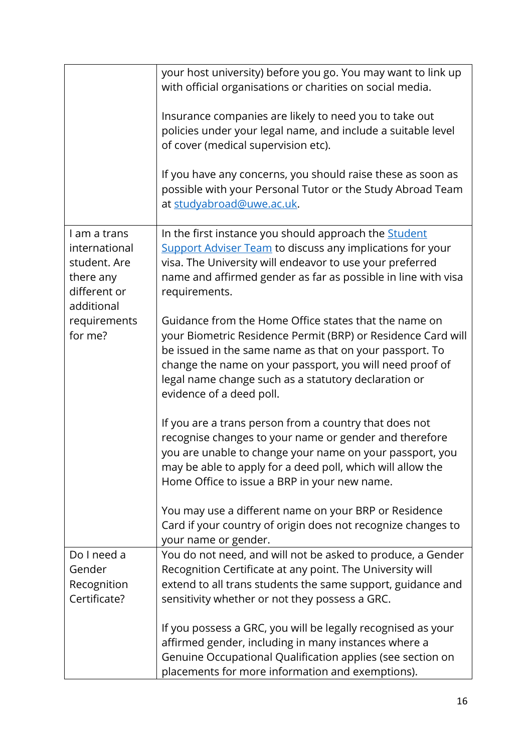|                                                                                                                     | your host university) before you go. You may want to link up<br>with official organisations or charities on social media.<br>Insurance companies are likely to need you to take out<br>policies under your legal name, and include a suitable level<br>of cover (medical supervision etc).<br>If you have any concerns, you should raise these as soon as<br>possible with your Personal Tutor or the Study Abroad Team<br>at studyabroad@uwe.ac.uk. |
|---------------------------------------------------------------------------------------------------------------------|------------------------------------------------------------------------------------------------------------------------------------------------------------------------------------------------------------------------------------------------------------------------------------------------------------------------------------------------------------------------------------------------------------------------------------------------------|
| I am a trans<br>international<br>student. Are<br>there any<br>different or<br>additional<br>requirements<br>for me? | In the first instance you should approach the <b>Student</b><br><b>Support Adviser Team to discuss any implications for your</b><br>visa. The University will endeavor to use your preferred<br>name and affirmed gender as far as possible in line with visa<br>requirements.                                                                                                                                                                       |
|                                                                                                                     | Guidance from the Home Office states that the name on<br>your Biometric Residence Permit (BRP) or Residence Card will<br>be issued in the same name as that on your passport. To<br>change the name on your passport, you will need proof of<br>legal name change such as a statutory declaration or<br>evidence of a deed poll.                                                                                                                     |
|                                                                                                                     | If you are a trans person from a country that does not<br>recognise changes to your name or gender and therefore<br>you are unable to change your name on your passport, you<br>may be able to apply for a deed poll, which will allow the<br>Home Office to issue a BRP in your new name.<br>You may use a different name on your BRP or Residence                                                                                                  |
|                                                                                                                     | Card if your country of origin does not recognize changes to<br>your name or gender.                                                                                                                                                                                                                                                                                                                                                                 |
| Do I need a<br>Gender<br>Recognition<br>Certificate?                                                                | You do not need, and will not be asked to produce, a Gender<br>Recognition Certificate at any point. The University will<br>extend to all trans students the same support, guidance and<br>sensitivity whether or not they possess a GRC.                                                                                                                                                                                                            |
|                                                                                                                     | If you possess a GRC, you will be legally recognised as your<br>affirmed gender, including in many instances where a<br>Genuine Occupational Qualification applies (see section on<br>placements for more information and exemptions).                                                                                                                                                                                                               |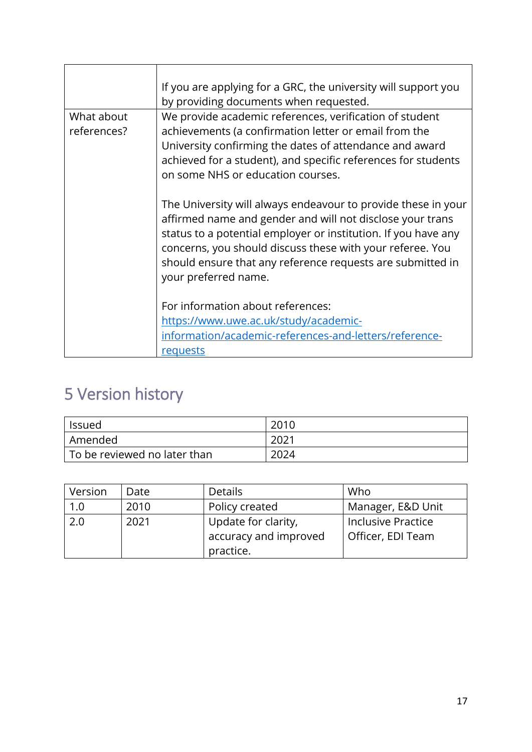|                           | If you are applying for a GRC, the university will support you<br>by providing documents when requested.                                                                                                                                                                                                                                        |  |  |
|---------------------------|-------------------------------------------------------------------------------------------------------------------------------------------------------------------------------------------------------------------------------------------------------------------------------------------------------------------------------------------------|--|--|
| What about<br>references? | We provide academic references, verification of student<br>achievements (a confirmation letter or email from the<br>University confirming the dates of attendance and award<br>achieved for a student), and specific references for students<br>on some NHS or education courses.                                                               |  |  |
|                           | The University will always endeavour to provide these in your<br>affirmed name and gender and will not disclose your trans<br>status to a potential employer or institution. If you have any<br>concerns, you should discuss these with your referee. You<br>should ensure that any reference requests are submitted in<br>your preferred name. |  |  |
|                           | For information about references:<br>https://www.uwe.ac.uk/study/academic-<br>information/academic-references-and-letters/reference-<br>requests                                                                                                                                                                                                |  |  |

### <span id="page-16-0"></span>5 Version history

| Issued                         | 2010 |
|--------------------------------|------|
| Amended                        | 2021 |
| l To be reviewed no later than | 2024 |

| Version | Date | <b>Details</b>        | Who                       |
|---------|------|-----------------------|---------------------------|
| 1.0     | 2010 | Policy created        | Manager, E&D Unit         |
| 2.0     | 2021 | Update for clarity,   | <b>Inclusive Practice</b> |
|         |      | accuracy and improved | Officer, EDI Team         |
|         |      | practice.             |                           |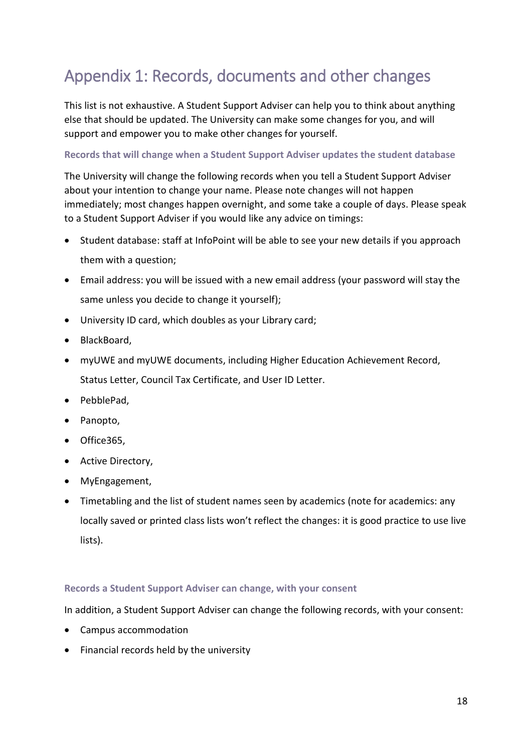## <span id="page-17-0"></span>Appendix 1: Records, documents and other changes

This list is not exhaustive. A Student Support Adviser can help you to think about anything else that should be updated. The University can make some changes for you, and will support and empower you to make other changes for yourself.

#### **Records that will change when a Student Support Adviser updates the student database**

The University will change the following records when you tell a Student Support Adviser about your intention to change your name. Please note changes will not happen immediately; most changes happen overnight, and some take a couple of days. Please speak to a Student Support Adviser if you would like any advice on timings:

- Student database: staff at InfoPoint will be able to see your new details if you approach them with a question;
- Email address: you will be issued with a new email address (your password will stay the same unless you decide to change it yourself);
- University ID card, which doubles as your Library card;
- BlackBoard,
- myUWE and myUWE documents, including Higher Education Achievement Record, Status Letter, Council Tax Certificate, and User ID Letter.
- PebblePad,
- Panopto,
- Office365,
- Active Directory,
- MyEngagement,
- Timetabling and the list of student names seen by academics (note for academics: any locally saved or printed class lists won't reflect the changes: it is good practice to use live lists).

#### **Records a Student Support Adviser can change, with your consent**

In addition, a Student Support Adviser can change the following records, with your consent:

- Campus accommodation
- Financial records held by the university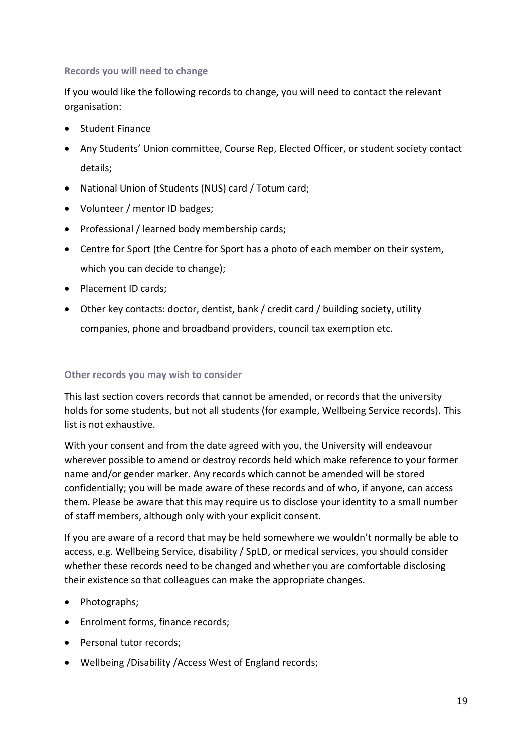#### **Records you will need to change**

If you would like the following records to change, you will need to contact the relevant organisation:

- Student Finance
- Any Students' Union committee, Course Rep, Elected Officer, or student society contact details;
- National Union of Students (NUS) card / Totum card;
- Volunteer / mentor ID badges;
- Professional / learned body membership cards;
- Centre for Sport (the Centre for Sport has a photo of each member on their system, which you can decide to change);
- Placement ID cards;
- Other key contacts: doctor, dentist, bank / credit card / building society, utility companies, phone and broadband providers, council tax exemption etc.

#### **Other records you may wish to consider**

This last section covers records that cannot be amended, or records that the university holds for some students, but not all students (for example, Wellbeing Service records). This list is not exhaustive.

With your consent and from the date agreed with you, the University will endeavour wherever possible to amend or destroy records held which make reference to your former name and/or gender marker. Any records which cannot be amended will be stored confidentially; you will be made aware of these records and of who, if anyone, can access them. Please be aware that this may require us to disclose your identity to a small number of staff members, although only with your explicit consent.

If you are aware of a record that may be held somewhere we wouldn't normally be able to access, e.g. Wellbeing Service, disability / SpLD, or medical services, you should consider whether these records need to be changed and whether you are comfortable disclosing their existence so that colleagues can make the appropriate changes.

- Photographs;
- Enrolment forms, finance records;
- Personal tutor records;
- Wellbeing /Disability /Access West of England records;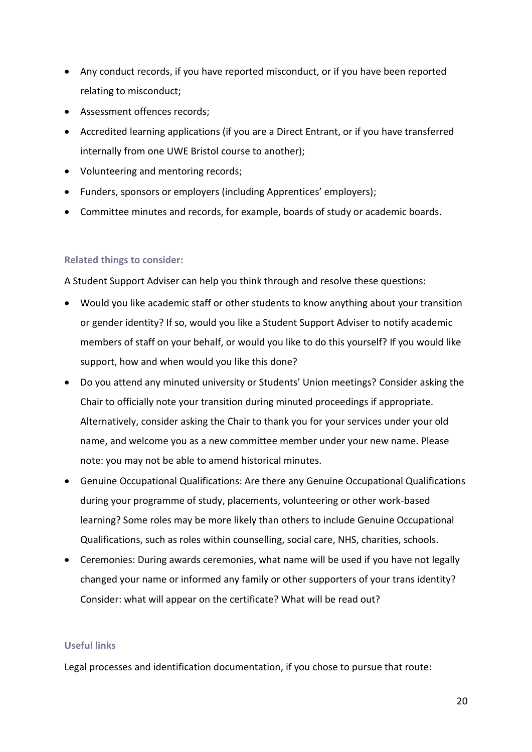- Any conduct records, if you have reported misconduct, or if you have been reported relating to misconduct;
- Assessment offences records;
- Accredited learning applications (if you are a Direct Entrant, or if you have transferred internally from one UWE Bristol course to another);
- Volunteering and mentoring records;
- Funders, sponsors or employers (including Apprentices' employers);
- Committee minutes and records, for example, boards of study or academic boards.

#### **Related things to consider:**

A Student Support Adviser can help you think through and resolve these questions:

- Would you like academic staff or other students to know anything about your transition or gender identity? If so, would you like a Student Support Adviser to notify academic members of staff on your behalf, or would you like to do this yourself? If you would like support, how and when would you like this done?
- Do you attend any minuted university or Students' Union meetings? Consider asking the Chair to officially note your transition during minuted proceedings if appropriate. Alternatively, consider asking the Chair to thank you for your services under your old name, and welcome you as a new committee member under your new name. Please note: you may not be able to amend historical minutes.
- Genuine Occupational Qualifications: Are there any Genuine Occupational Qualifications during your programme of study, placements, volunteering or other work-based learning? Some roles may be more likely than others to include Genuine Occupational Qualifications, such as roles within counselling, social care, NHS, charities, schools.
- Ceremonies: During awards ceremonies, what name will be used if you have not legally changed your name or informed any family or other supporters of your trans identity? Consider: what will appear on the certificate? What will be read out?

#### **Useful links**

Legal processes and identification documentation, if you chose to pursue that route: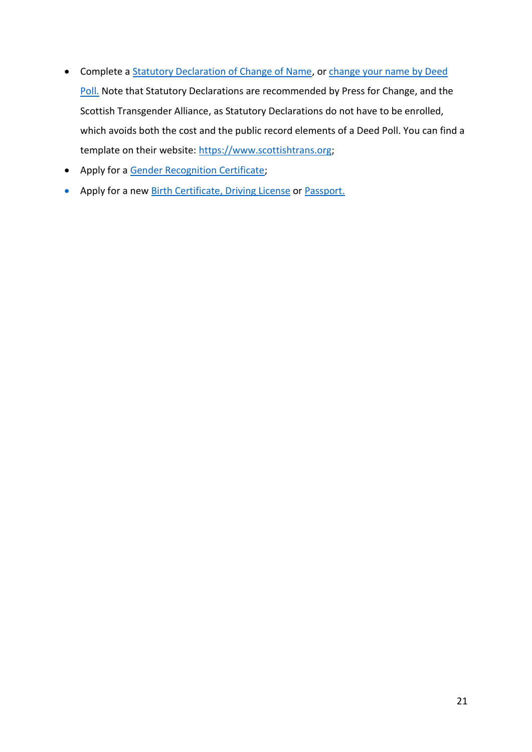- Complete a [Statutory Declaration of Change of Name,](https://www.gov.uk/government/publications/statutory-declarations) or change your name by Deed [Poll.](https://www.gov.uk/change-name-deed-poll) Note that Statutory Declarations are recommended by Press for Change, and the Scottish Transgender Alliance, as Statutory Declarations do not have to be enrolled, which avoids both the cost and the public record elements of a Deed Poll. You can find a template on their website: [https://www.scottishtrans.org;](https://www.scottishtrans.org/)
- Apply for [a Gender Recognition Certificate;](https://www.gov.uk/apply-gender-recognition-certificate)
- Apply for a new [Birth Certificate,](https://www.gov.uk/correct-birth-registration) [Driving License](https://www.gov.uk/change-name-driving-licence) or [Passport.](https://www.gov.uk/changing-passport-information/gender)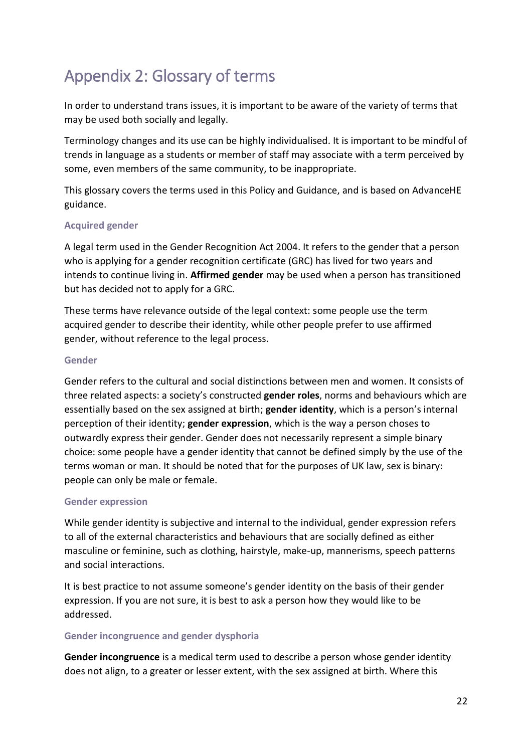## Appendix 2: Glossary of terms

In order to understand trans issues, it is important to be aware of the variety of terms that may be used both socially and legally.

Terminology changes and its use can be highly individualised. It is important to be mindful of trends in language as a students or member of staff may associate with a term perceived by some, even members of the same community, to be inappropriate.

This glossary covers the terms used in this Policy and Guidance, and is based on AdvanceHE guidance.

#### **Acquired gender**

A legal term used in the Gender Recognition Act 2004. It refers to the gender that a person who is applying for a gender recognition certificate (GRC) has lived for two years and intends to continue living in. **Affirmed gender** may be used when a person has transitioned but has decided not to apply for a GRC.

These terms have relevance outside of the legal context: some people use the term acquired gender to describe their identity, while other people prefer to use affirmed gender, without reference to the legal process.

#### **Gender**

Gender refers to the cultural and social distinctions between men and women. It consists of three related aspects: a society's constructed **gender roles**, norms and behaviours which are essentially based on the sex assigned at birth; **gender identity**, which is a person's internal perception of their identity; **gender expression**, which is the way a person choses to outwardly express their gender. Gender does not necessarily represent a simple binary choice: some people have a gender identity that cannot be defined simply by the use of the terms woman or man. It should be noted that for the purposes of UK law, sex is binary: people can only be male or female.

#### **Gender expression**

While gender identity is subjective and internal to the individual, gender expression refers to all of the external characteristics and behaviours that are socially defined as either masculine or feminine, such as clothing, hairstyle, make-up, mannerisms, speech patterns and social interactions.

It is best practice to not assume someone's gender identity on the basis of their gender expression. If you are not sure, it is best to ask a person how they would like to be addressed.

#### **Gender incongruence and gender dysphoria**

**Gender incongruence** is a medical term used to describe a person whose gender identity does not align, to a greater or lesser extent, with the sex assigned at birth. Where this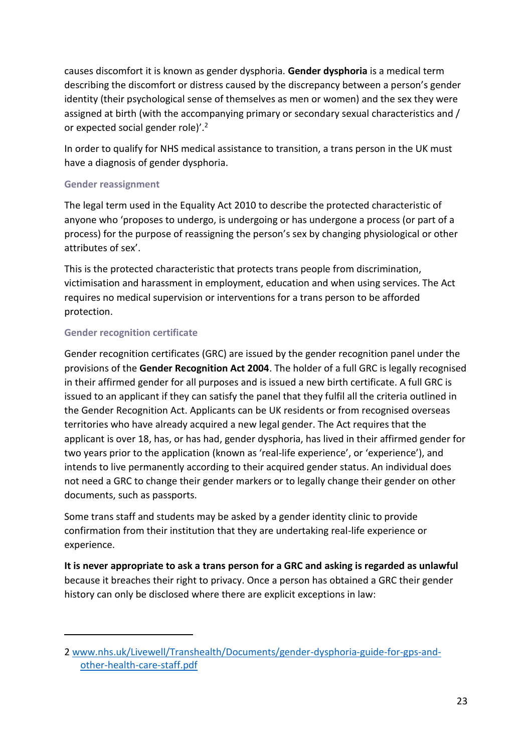causes discomfort it is known as gender dysphoria. **Gender dysphoria** is a medical term describing the discomfort or distress caused by the discrepancy between a person's gender identity (their psychological sense of themselves as men or women) and the sex they were assigned at birth (with the accompanying primary or secondary sexual characteristics and / or expected social gender role)'.<sup>2</sup>

In order to qualify for NHS medical assistance to transition, a trans person in the UK must have a diagnosis of gender dysphoria.

#### **Gender reassignment**

The legal term used in the Equality Act 2010 to describe the protected characteristic of anyone who 'proposes to undergo, is undergoing or has undergone a process (or part of a process) for the purpose of reassigning the person's sex by changing physiological or other attributes of sex'.

This is the protected characteristic that protects trans people from discrimination, victimisation and harassment in employment, education and when using services. The Act requires no medical supervision or interventions for a trans person to be afforded protection.

#### **Gender recognition certificate**

-

Gender recognition certificates (GRC) are issued by the gender recognition panel under the provisions of the **Gender Recognition Act 2004**. The holder of a full GRC is legally recognised in their affirmed gender for all purposes and is issued a new birth certificate. A full GRC is issued to an applicant if they can satisfy the panel that they fulfil all the criteria outlined in the Gender Recognition Act. Applicants can be UK residents or from recognised overseas territories who have already acquired a new legal gender. The Act requires that the applicant is over 18, has, or has had, gender dysphoria, has lived in their affirmed gender for two years prior to the application (known as 'real-life experience', or 'experience'), and intends to live permanently according to their acquired gender status. An individual does not need a GRC to change their gender markers or to legally change their gender on other documents, such as passports.

Some trans staff and students may be asked by a gender identity clinic to provide confirmation from their institution that they are undertaking real-life experience or experience.

**It is never appropriate to ask a trans person for a GRC and asking is regarded as unlawful** because it breaches their right to privacy. Once a person has obtained a GRC their gender history can only be disclosed where there are explicit exceptions in law:

<sup>2</sup> [www.nhs.uk/Livewell/Transhealth/Documents/gender-dysphoria-guide-for-gps-and](http://www.nhs.uk/Livewell/Transhealth/Documents/gender-dysphoria-guide-for-gps-and-other-health-care-staff.pdf)[other-health-care-staff.pdf](http://www.nhs.uk/Livewell/Transhealth/Documents/gender-dysphoria-guide-for-gps-and-other-health-care-staff.pdf)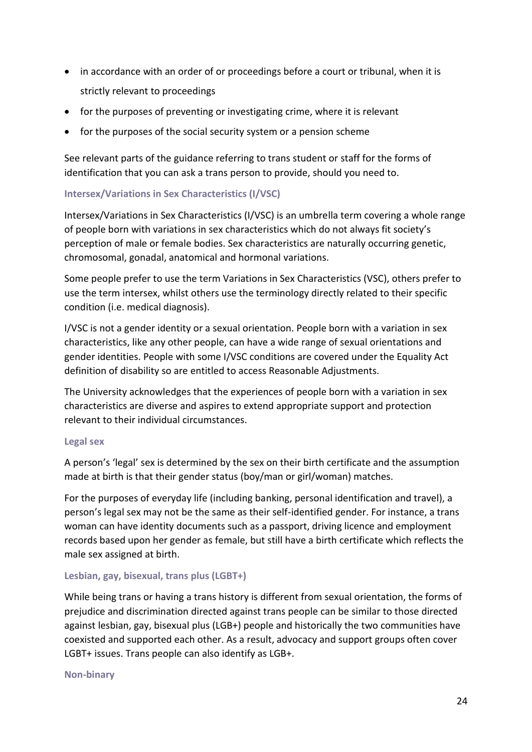- in accordance with an order of or proceedings before a court or tribunal, when it is strictly relevant to proceedings
- for the purposes of preventing or investigating crime, where it is relevant
- for the purposes of the social security system or a pension scheme

See relevant parts of the guidance referring to trans student or staff for the forms of identification that you can ask a trans person to provide, should you need to.

#### **Intersex/Variations in Sex Characteristics (I/VSC)**

Intersex/Variations in Sex Characteristics (I/VSC) is an umbrella term covering a whole range of people born with variations in sex characteristics which do not always fit society's perception of male or female bodies. Sex characteristics are naturally occurring genetic, chromosomal, gonadal, anatomical and hormonal variations.

Some people prefer to use the term Variations in Sex Characteristics (VSC), others prefer to use the term intersex, whilst others use the terminology directly related to their specific condition (i.e. medical diagnosis).

I/VSC is not a gender identity or a sexual orientation. People born with a variation in sex characteristics, like any other people, can have a wide range of sexual orientations and gender identities. People with some I/VSC conditions are covered under the Equality Act definition of disability so are entitled to access Reasonable Adjustments.

The University acknowledges that the experiences of people born with a variation in sex characteristics are diverse and aspires to extend appropriate support and protection relevant to their individual circumstances.

#### **Legal sex**

A person's 'legal' sex is determined by the sex on their birth certificate and the assumption made at birth is that their gender status (boy/man or girl/woman) matches.

For the purposes of everyday life (including banking, personal identification and travel), a person's legal sex may not be the same as their self-identified gender. For instance, a trans woman can have identity documents such as a passport, driving licence and employment records based upon her gender as female, but still have a birth certificate which reflects the male sex assigned at birth.

#### **Lesbian, gay, bisexual, trans plus (LGBT+)**

While being trans or having a trans history is different from sexual orientation, the forms of prejudice and discrimination directed against trans people can be similar to those directed against lesbian, gay, bisexual plus (LGB+) people and historically the two communities have coexisted and supported each other. As a result, advocacy and support groups often cover LGBT+ issues. Trans people can also identify as LGB+.

#### **Non-binary**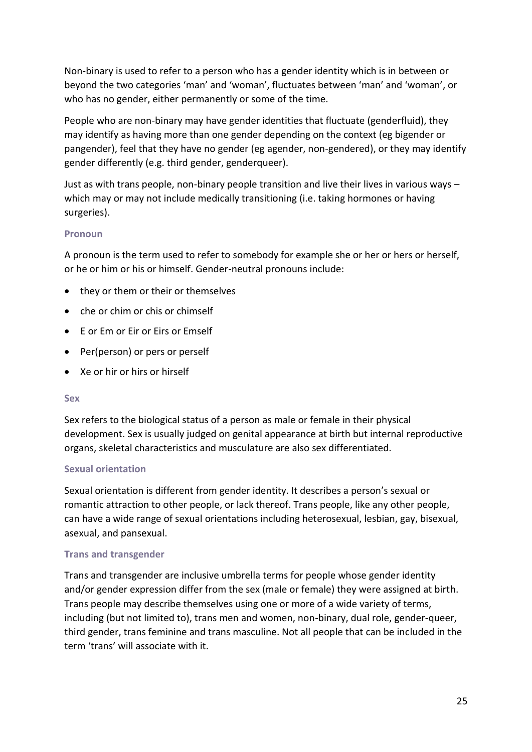Non-binary is used to refer to a person who has a gender identity which is in between or beyond the two categories 'man' and 'woman', fluctuates between 'man' and 'woman', or who has no gender, either permanently or some of the time.

People who are non-binary may have gender identities that fluctuate (genderfluid), they may identify as having more than one gender depending on the context (eg bigender or pangender), feel that they have no gender (eg agender, non-gendered), or they may identify gender differently (e.g. third gender, genderqueer).

Just as with trans people, non-binary people transition and live their lives in various ways – which may or may not include medically transitioning (i.e. taking hormones or having surgeries).

#### **Pronoun**

A pronoun is the term used to refer to somebody for example she or her or hers or herself, or he or him or his or himself. Gender-neutral pronouns include:

- they or them or their or themselves
- che or chim or chis or chimself
- E or Em or Eir or Eirs or Emself
- Per(person) or pers or perself
- Xe or hir or hirs or hirself

#### **Sex**

Sex refers to the biological status of a person as male or female in their physical development. Sex is usually judged on genital appearance at birth but internal reproductive organs, skeletal characteristics and musculature are also sex differentiated.

#### **Sexual orientation**

Sexual orientation is different from gender identity. It describes a person's sexual or romantic attraction to other people, or lack thereof. Trans people, like any other people, can have a wide range of sexual orientations including heterosexual, lesbian, gay, bisexual, asexual, and pansexual.

#### **Trans and transgender**

Trans and transgender are inclusive umbrella terms for people whose gender identity and/or gender expression differ from the sex (male or female) they were assigned at birth. Trans people may describe themselves using one or more of a wide variety of terms, including (but not limited to), trans men and women, non-binary, dual role, gender-queer, third gender, trans feminine and trans masculine. Not all people that can be included in the term 'trans' will associate with it.